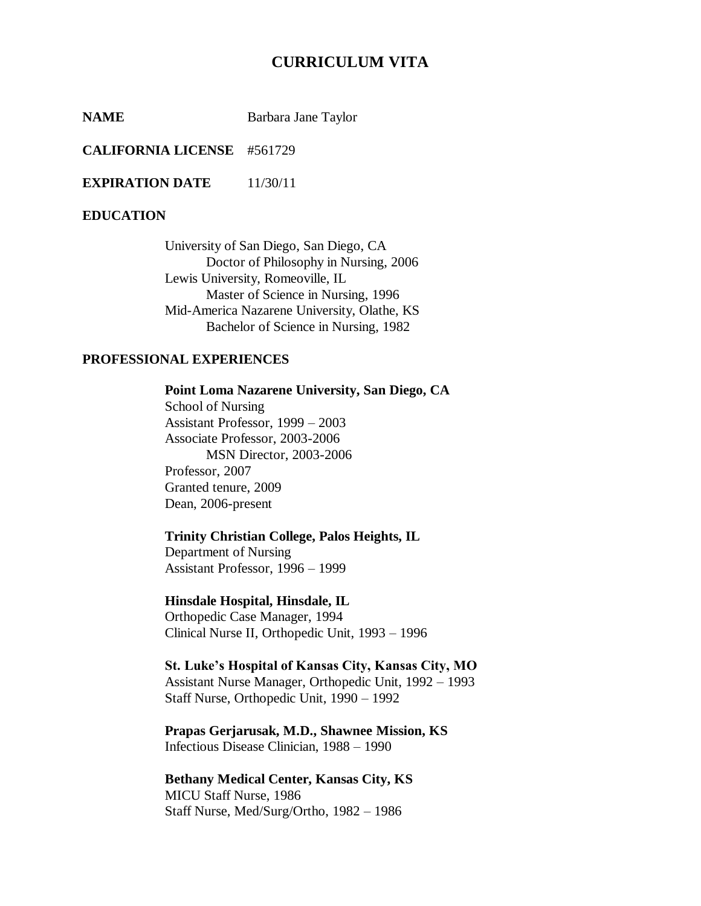# **CURRICULUM VITA**

**NAME** Barbara Jane Taylor

**CALIFORNIA LICENSE** #561729

**EXPIRATION DATE** 11/30/11

### **EDUCATION**

University of San Diego, San Diego, CA Doctor of Philosophy in Nursing, 2006 Lewis University, Romeoville, IL Master of Science in Nursing, 1996 Mid-America Nazarene University, Olathe, KS Bachelor of Science in Nursing, 1982

## **PROFESSIONAL EXPERIENCES**

**Point Loma Nazarene University, San Diego, CA** School of Nursing Assistant Professor, 1999 – 2003 Associate Professor, 2003-2006 MSN Director, 2003-2006 Professor, 2007 Granted tenure, 2009 Dean, 2006-present

## **Trinity Christian College, Palos Heights, IL**

Department of Nursing Assistant Professor, 1996 – 1999

#### **Hinsdale Hospital, Hinsdale, IL**

Orthopedic Case Manager, 1994 Clinical Nurse II, Orthopedic Unit, 1993 – 1996

**St. Luke's Hospital of Kansas City, Kansas City, MO** Assistant Nurse Manager, Orthopedic Unit, 1992 – 1993 Staff Nurse, Orthopedic Unit, 1990 – 1992

### **Prapas Gerjarusak, M.D., Shawnee Mission, KS** Infectious Disease Clinician, 1988 – 1990

**Bethany Medical Center, Kansas City, KS** MICU Staff Nurse, 1986 Staff Nurse, Med/Surg/Ortho, 1982 – 1986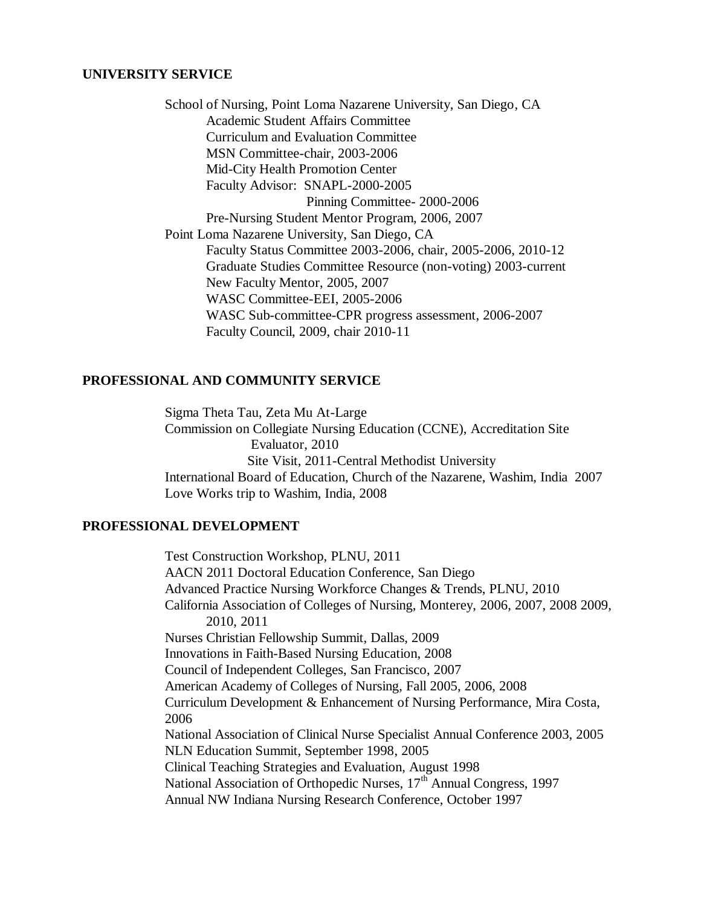### **UNIVERSITY SERVICE**

School of Nursing, Point Loma Nazarene University, San Diego, CA Academic Student Affairs Committee Curriculum and Evaluation Committee MSN Committee-chair, 2003-2006 Mid-City Health Promotion Center Faculty Advisor: SNAPL-2000-2005 Pinning Committee- 2000-2006 Pre-Nursing Student Mentor Program, 2006, 2007 Point Loma Nazarene University, San Diego, CA Faculty Status Committee 2003-2006, chair, 2005-2006, 2010-12 Graduate Studies Committee Resource (non-voting) 2003-current New Faculty Mentor, 2005, 2007 WASC Committee-EEI, 2005-2006 WASC Sub-committee-CPR progress assessment, 2006-2007 Faculty Council, 2009, chair 2010-11

## **PROFESSIONAL AND COMMUNITY SERVICE**

Sigma Theta Tau, Zeta Mu At-Large Commission on Collegiate Nursing Education (CCNE), Accreditation Site Evaluator, 2010 Site Visit, 2011-Central Methodist University International Board of Education, Church of the Nazarene, Washim, India 2007 Love Works trip to Washim, India, 2008

## **PROFESSIONAL DEVELOPMENT**

Test Construction Workshop, PLNU, 2011 AACN 2011 Doctoral Education Conference, San Diego Advanced Practice Nursing Workforce Changes & Trends, PLNU, 2010 California Association of Colleges of Nursing, Monterey, 2006, 2007, 2008 2009, 2010, 2011 Nurses Christian Fellowship Summit, Dallas, 2009 Innovations in Faith-Based Nursing Education, 2008 Council of Independent Colleges, San Francisco, 2007 American Academy of Colleges of Nursing, Fall 2005, 2006, 2008 Curriculum Development & Enhancement of Nursing Performance, Mira Costa, 2006 National Association of Clinical Nurse Specialist Annual Conference 2003, 2005 NLN Education Summit, September 1998, 2005 Clinical Teaching Strategies and Evaluation, August 1998 National Association of Orthopedic Nurses, 17<sup>th</sup> Annual Congress, 1997 Annual NW Indiana Nursing Research Conference, October 1997